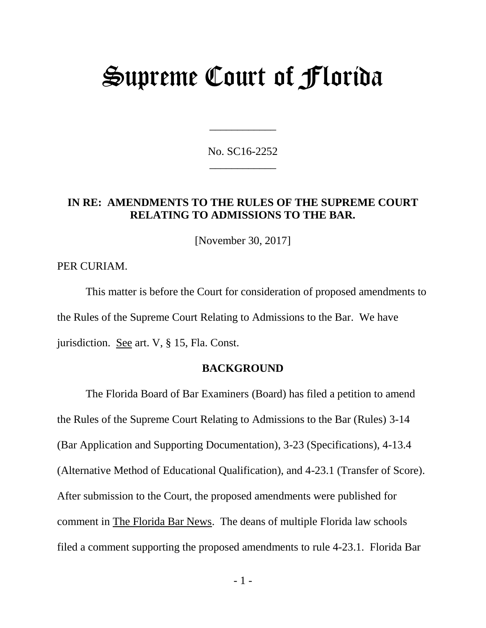# Supreme Court of Florida

No. SC16-2252 \_\_\_\_\_\_\_\_\_\_\_\_

\_\_\_\_\_\_\_\_\_\_\_\_

## **IN RE: AMENDMENTS TO THE RULES OF THE SUPREME COURT RELATING TO ADMISSIONS TO THE BAR.**

[November 30, 2017]

PER CURIAM.

This matter is before the Court for consideration of proposed amendments to the Rules of the Supreme Court Relating to Admissions to the Bar. We have jurisdiction. See art. V, § 15, Fla. Const.

## **BACKGROUND**

The Florida Board of Bar Examiners (Board) has filed a petition to amend the Rules of the Supreme Court Relating to Admissions to the Bar (Rules) 3-14 (Bar Application and Supporting Documentation), 3-23 (Specifications), 4-13.4 (Alternative Method of Educational Qualification), and 4-23.1 (Transfer of Score). After submission to the Court, the proposed amendments were published for comment in The Florida Bar News. The deans of multiple Florida law schools filed a comment supporting the proposed amendments to rule 4-23.1. Florida Bar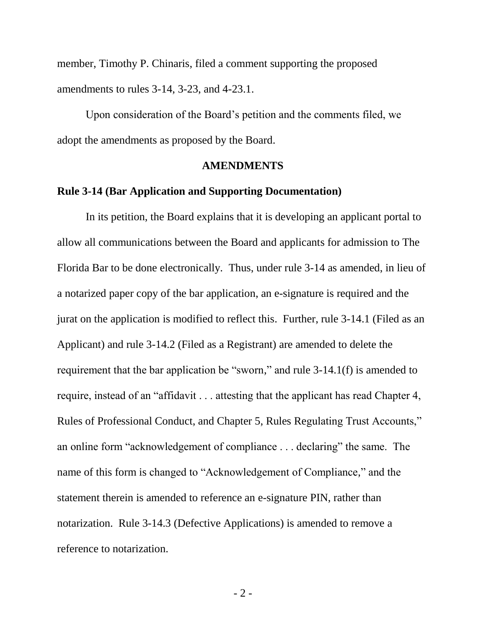member, Timothy P. Chinaris, filed a comment supporting the proposed amendments to rules 3-14, 3-23, and 4-23.1.

Upon consideration of the Board's petition and the comments filed, we adopt the amendments as proposed by the Board.

## **AMENDMENTS**

#### **Rule 3-14 (Bar Application and Supporting Documentation)**

In its petition, the Board explains that it is developing an applicant portal to allow all communications between the Board and applicants for admission to The Florida Bar to be done electronically. Thus, under rule 3-14 as amended, in lieu of a notarized paper copy of the bar application, an e-signature is required and the jurat on the application is modified to reflect this. Further, rule 3-14.1 (Filed as an Applicant) and rule 3-14.2 (Filed as a Registrant) are amended to delete the requirement that the bar application be "sworn," and rule 3-14.1(f) is amended to require, instead of an "affidavit . . . attesting that the applicant has read Chapter 4, Rules of Professional Conduct, and Chapter 5, Rules Regulating Trust Accounts," an online form "acknowledgement of compliance . . . declaring" the same. The name of this form is changed to "Acknowledgement of Compliance," and the statement therein is amended to reference an e-signature PIN, rather than notarization. Rule 3-14.3 (Defective Applications) is amended to remove a reference to notarization.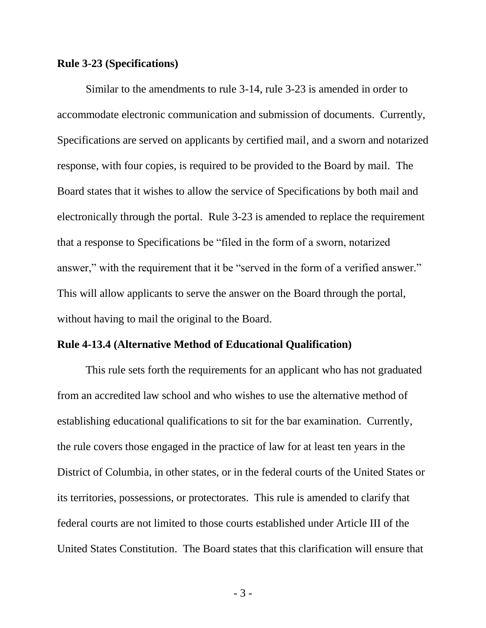#### **Rule 3-23 (Specifications)**

Similar to the amendments to rule 3-14, rule 3-23 is amended in order to accommodate electronic communication and submission of documents. Currently, Specifications are served on applicants by certified mail, and a sworn and notarized response, with four copies, is required to be provided to the Board by mail. The Board states that it wishes to allow the service of Specifications by both mail and electronically through the portal. Rule 3-23 is amended to replace the requirement that a response to Specifications be "filed in the form of a sworn, notarized answer," with the requirement that it be "served in the form of a verified answer." This will allow applicants to serve the answer on the Board through the portal, without having to mail the original to the Board.

### **Rule 4-13.4 (Alternative Method of Educational Qualification)**

This rule sets forth the requirements for an applicant who has not graduated from an accredited law school and who wishes to use the alternative method of establishing educational qualifications to sit for the bar examination. Currently, the rule covers those engaged in the practice of law for at least ten years in the District of Columbia, in other states, or in the federal courts of the United States or its territories, possessions, or protectorates. This rule is amended to clarify that federal courts are not limited to those courts established under Article III of the United States Constitution. The Board states that this clarification will ensure that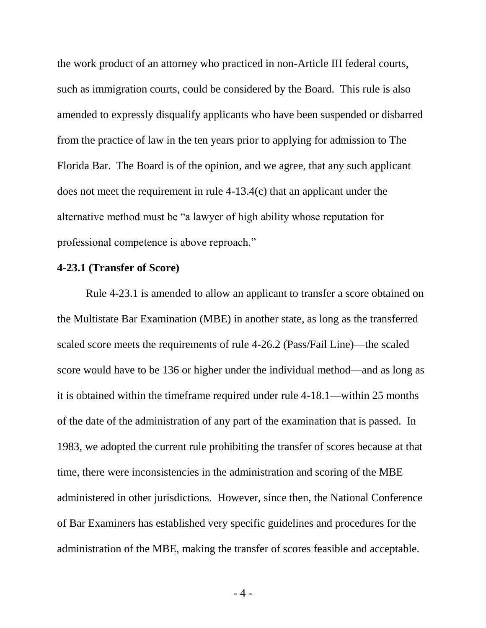the work product of an attorney who practiced in non-Article III federal courts, such as immigration courts, could be considered by the Board. This rule is also amended to expressly disqualify applicants who have been suspended or disbarred from the practice of law in the ten years prior to applying for admission to The Florida Bar. The Board is of the opinion, and we agree, that any such applicant does not meet the requirement in rule 4-13.4(c) that an applicant under the alternative method must be "a lawyer of high ability whose reputation for professional competence is above reproach."

#### **4-23.1 (Transfer of Score)**

Rule 4-23.1 is amended to allow an applicant to transfer a score obtained on the Multistate Bar Examination (MBE) in another state, as long as the transferred scaled score meets the requirements of rule 4-26.2 (Pass/Fail Line)—the scaled score would have to be 136 or higher under the individual method—and as long as it is obtained within the timeframe required under rule 4-18.1—within 25 months of the date of the administration of any part of the examination that is passed. In 1983, we adopted the current rule prohibiting the transfer of scores because at that time, there were inconsistencies in the administration and scoring of the MBE administered in other jurisdictions. However, since then, the National Conference of Bar Examiners has established very specific guidelines and procedures for the administration of the MBE, making the transfer of scores feasible and acceptable.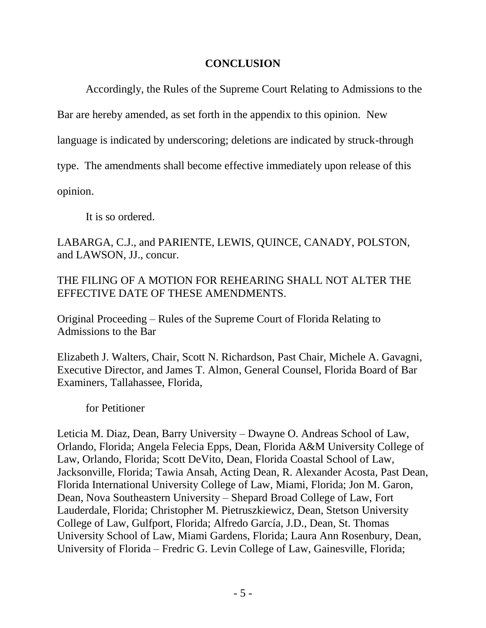## **CONCLUSION**

Accordingly, the Rules of the Supreme Court Relating to Admissions to the

Bar are hereby amended, as set forth in the appendix to this opinion. New

language is indicated by underscoring; deletions are indicated by struck-through

type. The amendments shall become effective immediately upon release of this

opinion.

It is so ordered.

LABARGA, C.J., and PARIENTE, LEWIS, QUINCE, CANADY, POLSTON, and LAWSON, JJ., concur.

THE FILING OF A MOTION FOR REHEARING SHALL NOT ALTER THE EFFECTIVE DATE OF THESE AMENDMENTS.

Original Proceeding – Rules of the Supreme Court of Florida Relating to Admissions to the Bar

Elizabeth J. Walters, Chair, Scott N. Richardson, Past Chair, Michele A. Gavagni, Executive Director, and James T. Almon, General Counsel, Florida Board of Bar Examiners, Tallahassee, Florida,

for Petitioner

Leticia M. Diaz, Dean, Barry University – Dwayne O. Andreas School of Law, Orlando, Florida; Angela Felecia Epps, Dean, Florida A&M University College of Law, Orlando, Florida; Scott DeVito, Dean, Florida Coastal School of Law, Jacksonville, Florida; Tawia Ansah, Acting Dean, R. Alexander Acosta, Past Dean, Florida International University College of Law, Miami, Florida; Jon M. Garon, Dean, Nova Southeastern University – Shepard Broad College of Law, Fort Lauderdale, Florida; Christopher M. Pietruszkiewicz, Dean, Stetson University College of Law, Gulfport, Florida; Alfredo García, J.D., Dean, St. Thomas University School of Law, Miami Gardens, Florida; Laura Ann Rosenbury, Dean, University of Florida – Fredric G. Levin College of Law, Gainesville, Florida;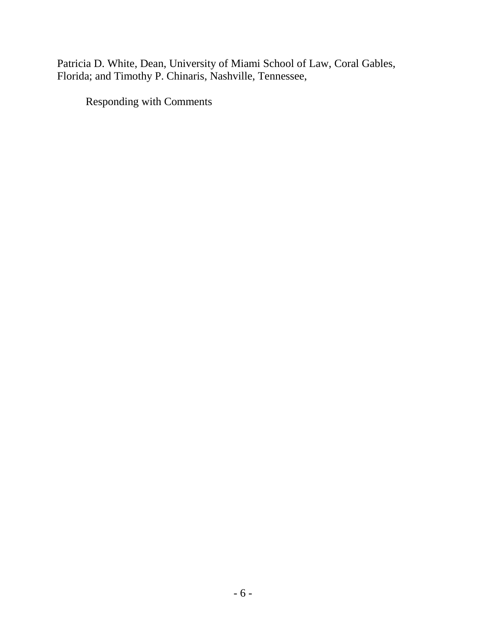Patricia D. White, Dean, University of Miami School of Law, Coral Gables, Florida; and Timothy P. Chinaris, Nashville, Tennessee,

Responding with Comments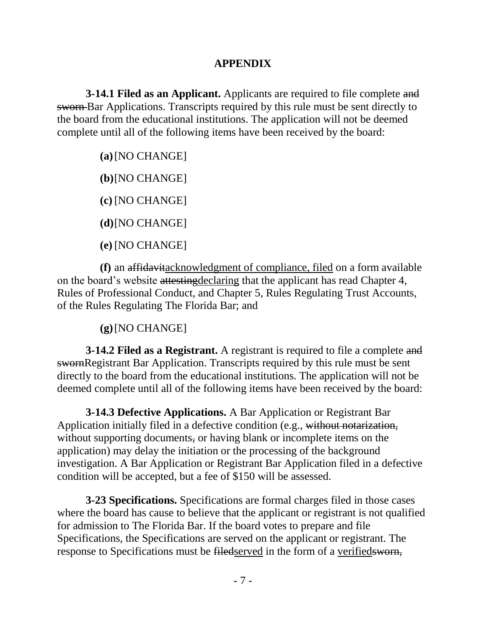## **APPENDIX**

**3-14.1 Filed as an Applicant.** Applicants are required to file complete and sworn Bar Applications. Transcripts required by this rule must be sent directly to the board from the educational institutions. The application will not be deemed complete until all of the following items have been received by the board:

**(a)**[NO CHANGE]

**(b)**[NO CHANGE]

**(c)** [NO CHANGE]

**(d)**[NO CHANGE]

**(e)** [NO CHANGE]

**(f)** an affidavitacknowledgment of compliance, filed on a form available on the board's website attestingdeclaring that the applicant has read Chapter 4, Rules of Professional Conduct, and Chapter 5, Rules Regulating Trust Accounts, of the Rules Regulating The Florida Bar; and

## **(g)**[NO CHANGE]

**3-14.2 Filed as a Registrant.** A registrant is required to file a complete and swornRegistrant Bar Application. Transcripts required by this rule must be sent directly to the board from the educational institutions. The application will not be deemed complete until all of the following items have been received by the board:

**3-14.3 Defective Applications.** A Bar Application or Registrant Bar Application initially filed in a defective condition (e.g., without notarization, without supporting documents, or having blank or incomplete items on the application) may delay the initiation or the processing of the background investigation. A Bar Application or Registrant Bar Application filed in a defective condition will be accepted, but a fee of \$150 will be assessed.

**3-23 Specifications.** Specifications are formal charges filed in those cases where the board has cause to believe that the applicant or registrant is not qualified for admission to The Florida Bar. If the board votes to prepare and file Specifications, the Specifications are served on the applicant or registrant. The response to Specifications must be filedserved in the form of a verifiedsworn,